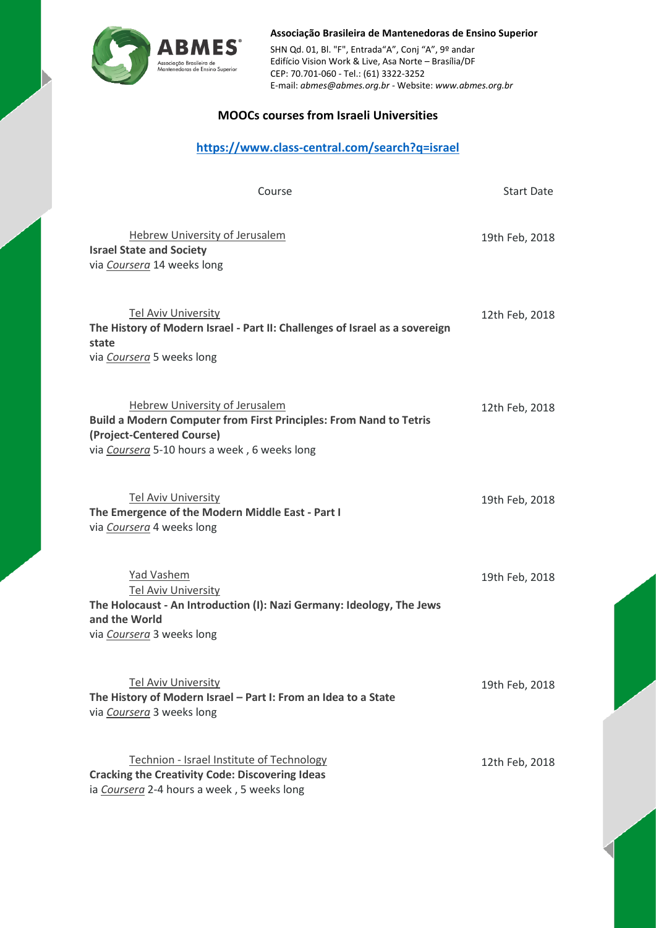

**Associação Brasileira de Mantenedoras de Ensino Superior** SHN Qd. 01, Bl. "F", Entrada"A", Conj "A", 9º andar Edifício Vision Work & Live, Asa Norte – Brasília/DF CEP: 70.701-060 - Tel.: (61) 3322-3252 E-mail: *[abmes@abmes.org.br](mailto:abmes@abmes.org.br)* - Website: *[www.abmes.org.br](http://www.abmes.org.br/)*

## **MOOCs courses from Israeli Universities**

## **<https://www.class-central.com/search?q=israel>**

| Course                                                                                                                                                                                   | <b>Start Date</b> |
|------------------------------------------------------------------------------------------------------------------------------------------------------------------------------------------|-------------------|
| <b>Hebrew University of Jerusalem</b><br><b>Israel State and Society</b><br>via Coursera 14 weeks long                                                                                   | 19th Feb, 2018    |
| <b>Tel Aviv University</b><br>The History of Modern Israel - Part II: Challenges of Israel as a sovereign<br>state<br>via Coursera 5 weeks long                                          | 12th Feb, 2018    |
| Hebrew University of Jerusalem<br><b>Build a Modern Computer from First Principles: From Nand to Tetris</b><br>(Project-Centered Course)<br>via Coursera 5-10 hours a week, 6 weeks long | 12th Feb, 2018    |
| <b>Tel Aviv University</b><br>The Emergence of the Modern Middle East - Part I<br>via Coursera 4 weeks long                                                                              | 19th Feb, 2018    |
| Yad Vashem<br><b>Tel Aviv University</b><br>The Holocaust - An Introduction (I): Nazi Germany: Ideology, The Jews<br>and the World<br>via Coursera 3 weeks long                          | 19th Feb, 2018    |
| <b>Tel Aviv University</b><br>The History of Modern Israel - Part I: From an Idea to a State<br>via Coursera 3 weeks long                                                                | 19th Feb, 2018    |
| Technion - Israel Institute of Technology<br><b>Cracking the Creativity Code: Discovering Ideas</b><br>ia Coursera 2-4 hours a week, 5 weeks long                                        | 12th Feb, 2018    |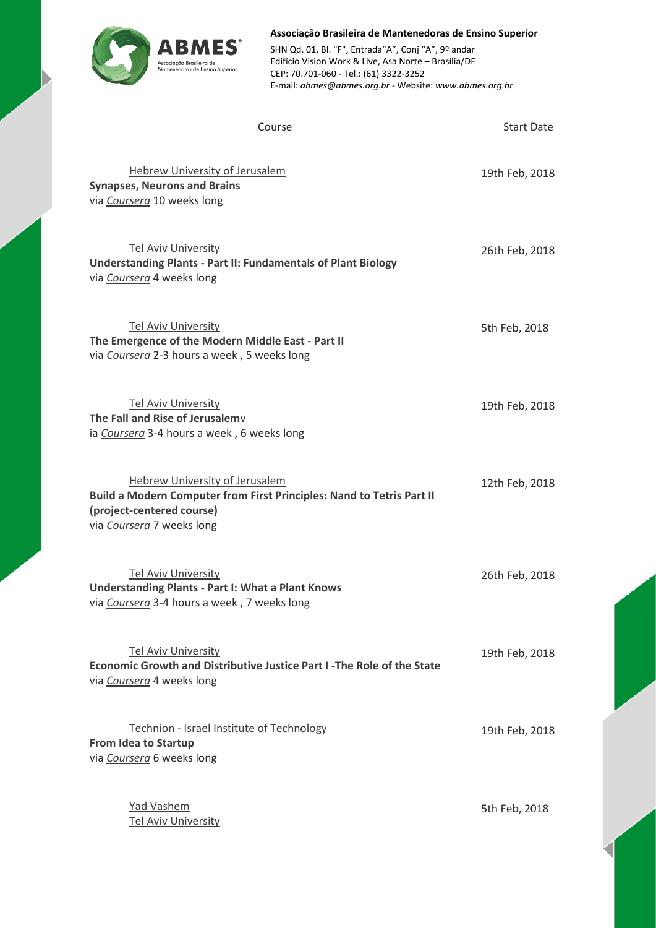

**Associação Brasileira de Mantenedoras de Ensino Superior** SHN Qd. 01, Bl. "F", Entrada"A", Conj "A", 9º andar Edifício Vision Work & Live, Asa Norte – Brasília/DF CEP: 70.701-060 - Tel.: (61) 3322-3252 E-mail: *[abmes@abmes.org.br](mailto:abmes@abmes.org.br)* - Website: *[www.abmes.org.br](http://www.abmes.org.br/)*

| Course                                                                                                                                                            | <b>Start Date</b> |
|-------------------------------------------------------------------------------------------------------------------------------------------------------------------|-------------------|
| <b>Hebrew University of Jerusalem</b><br><b>Synapses, Neurons and Brains</b><br>via Coursera 10 weeks long                                                        | 19th Feb, 2018    |
| <b>Tel Aviv University</b><br><b>Understanding Plants - Part II: Fundamentals of Plant Biology</b><br>via Coursera 4 weeks long                                   | 26th Feb, 2018    |
| <b>Tel Aviv University</b><br>The Emergence of the Modern Middle East - Part II<br>via Coursera 2-3 hours a week, 5 weeks long                                    | 5th Feb, 2018     |
| <b>Tel Aviv University</b><br>The Fall and Rise of Jerusalemy<br>ia Coursera 3-4 hours a week, 6 weeks long                                                       | 19th Feb, 2018    |
| Hebrew University of Jerusalem<br>Build a Modern Computer from First Principles: Nand to Tetris Part II<br>(project-centered course)<br>via Coursera 7 weeks long | 12th Feb, 2018    |
| <b>Tel Aviv University</b><br><b>Understanding Plants - Part I: What a Plant Knows</b><br>via Coursera 3-4 hours a week, 7 weeks long                             | 26th Feb, 2018    |
| <b>Tel Aviv University</b><br>Economic Growth and Distributive Justice Part I-The Role of the State<br>via Coursera 4 weeks long                                  | 19th Feb, 2018    |
| Technion - Israel Institute of Technology<br><b>From Idea to Startup</b><br>via Coursera 6 weeks long                                                             | 19th Feb, 2018    |
| Yad Vashem<br><b>Tel Aviv University</b>                                                                                                                          | 5th Feb, 2018     |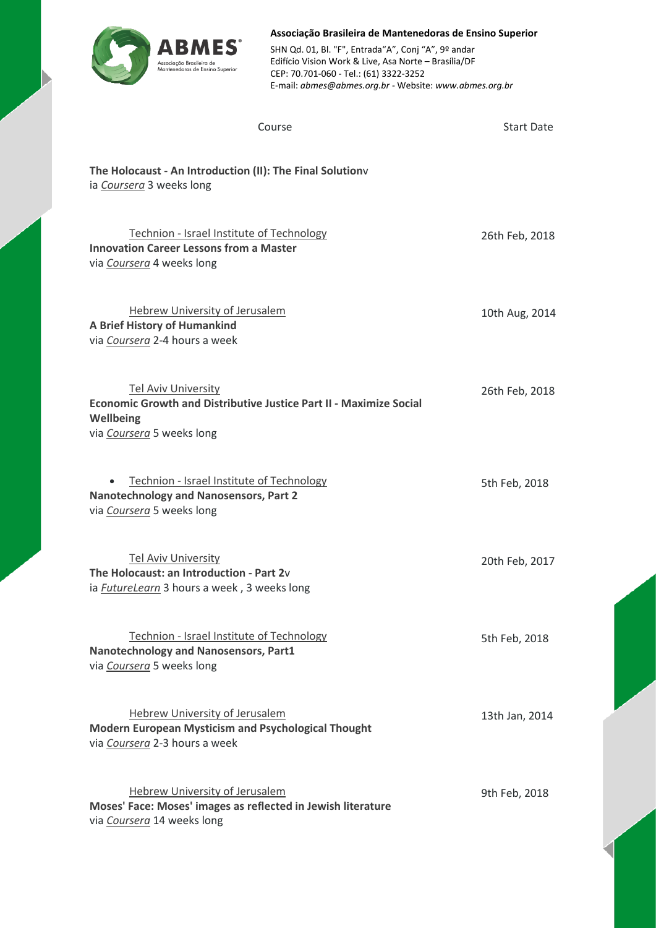

**Associação Brasileira de Mantenedoras de Ensino Superior** SHN Qd. 01, Bl. "F", Entrada"A", Conj "A", 9º andar Edifício Vision Work & Live, Asa Norte – Brasília/DF CEP: 70.701-060 - Tel.: (61) 3322-3252 E-mail: *[abmes@abmes.org.br](mailto:abmes@abmes.org.br)* - Website: *[www.abmes.org.br](http://www.abmes.org.br/)*

| Course                                                                                                                                     | <b>Start Date</b> |
|--------------------------------------------------------------------------------------------------------------------------------------------|-------------------|
| The Holocaust - An Introduction (II): The Final Solutionv<br>ia Coursera 3 weeks long                                                      |                   |
| Technion - Israel Institute of Technology<br><b>Innovation Career Lessons from a Master</b><br>via Coursera 4 weeks long                   | 26th Feb, 2018    |
| <b>Hebrew University of Jerusalem</b><br>A Brief History of Humankind<br>via Coursera 2-4 hours a week                                     | 10th Aug, 2014    |
| Tel Aviv University<br><b>Economic Growth and Distributive Justice Part II - Maximize Social</b><br>Wellbeing<br>via Coursera 5 weeks long | 26th Feb, 2018    |
| Technion - Israel Institute of Technology<br><b>Nanotechnology and Nanosensors, Part 2</b><br>via Coursera 5 weeks long                    | 5th Feb, 2018     |
| <b>Tel Aviv University</b><br>The Holocaust: an Introduction - Part 2v<br>ia <b>FutureLearn</b> 3 hours a week, 3 weeks long               | 20th Feb, 2017    |
| Technion - Israel Institute of Technology<br><b>Nanotechnology and Nanosensors, Part1</b><br>via Coursera 5 weeks long                     | 5th Feb, 2018     |
| <b>Hebrew University of Jerusalem</b><br><b>Modern European Mysticism and Psychological Thought</b><br>via Coursera 2-3 hours a week       | 13th Jan, 2014    |
| Hebrew University of Jerusalem<br>Moses' Face: Moses' images as reflected in Jewish literature<br>via Coursera 14 weeks long               | 9th Feb, 2018     |